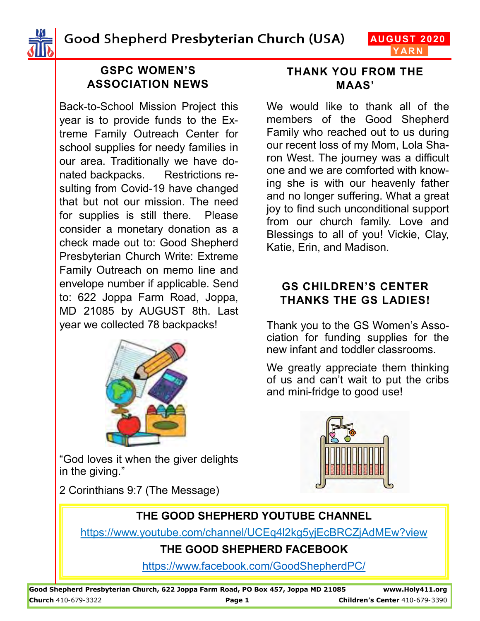Good Shepherd Presbyterian Church (USA)

**AUGUST 2020 YARN**



### **GSPC WOMEN'S ASSOCIATION NEWS**

Back-to-School Mission Project this year is to provide funds to the Extreme Family Outreach Center for school supplies for needy families in our area. Traditionally we have donated backpacks. Restrictions resulting from Covid-19 have changed that but not our mission. The need for supplies is still there. Please consider a monetary donation as a check made out to: Good Shepherd Presbyterian Church Write: Extreme Family Outreach on memo line and envelope number if applicable. Send to: 622 Joppa Farm Road, Joppa, MD 21085 by AUGUST 8th. Last year we collected 78 backpacks!



**THANK YOU FROM THE MAAS'**

We would like to thank all of the members of the Good Shepherd Family who reached out to us during our recent loss of my Mom, Lola Sharon West. The journey was a difficult one and we are comforted with knowing she is with our heavenly father and no longer suffering. What a great joy to find such unconditional support from our church family. Love and Blessings to all of you! Vickie, Clay, Katie, Erin, and Madison.

#### **GS CHILDREN'S CENTER THANKS THE GS LADIES!**

Thank you to the GS Women's Association for funding supplies for the new infant and toddler classrooms.

We greatly appreciate them thinking of us and can't wait to put the cribs and mini-fridge to good use!

"God loves it when the giver delights in the giving."

2 Corinthians 9:7 (The Message)



### **THE GOOD SHEPHERD YOUTUBE CHANNEL**

https://www.youtube.com/channel/UCEq4l2kg5yjEcBRCZjAdMEw?view

### **THE GOOD SHEPHERD FACEBOOK**

<https://www.facebook.com/GoodShepherdPC/>

**Good Shepherd Presbyterian Church, 622 Joppa Farm Road, PO Box 457, Joppa MD 21085 www.Holy411.org Church** 410-679-3322 **Page 1 Children's Center** 410-679-3390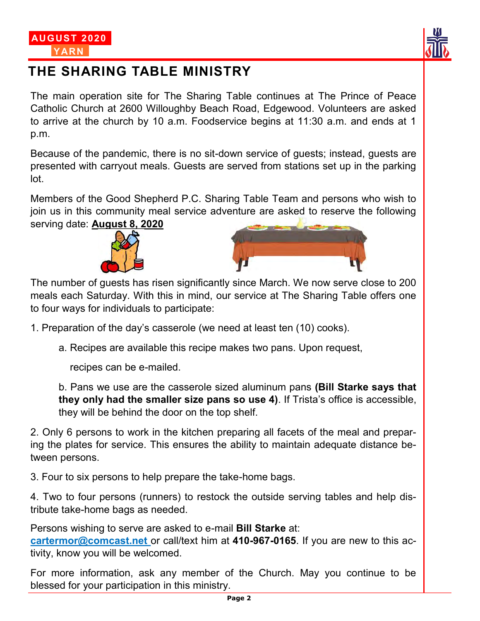



## **THE SHARING TABLE MINISTRY**

The main operation site for The Sharing Table continues at The Prince of Peace Catholic Church at 2600 Willoughby Beach Road, Edgewood. Volunteers are asked to arrive at the church by 10 a.m. Foodservice begins at 11:30 a.m. and ends at 1 p.m.

Because of the pandemic, there is no sit-down service of guests; instead, guests are presented with carryout meals. Guests are served from stations set up in the parking lot.

Members of the Good Shepherd P.C. Sharing Table Team and persons who wish to join us in this community meal service adventure are asked to reserve the following serving date: **August 8, 2020**





The number of guests has risen significantly since March. We now serve close to 200 meals each Saturday. With this in mind, our service at The Sharing Table offers one to four ways for individuals to participate:

1. Preparation of the day's casserole (we need at least ten (10) cooks).

a. Recipes are available this recipe makes two pans. Upon request,

recipes can be e-mailed.

b. Pans we use are the casserole sized aluminum pans **(Bill Starke says that they only had the smaller size pans so use 4)**. If Trista's office is accessible, they will be behind the door on the top shelf.

2. Only 6 persons to work in the kitchen preparing all facets of the meal and preparing the plates for service. This ensures the ability to maintain adequate distance between persons.

3. Four to six persons to help prepare the take-home bags.

4. Two to four persons (runners) to restock the outside serving tables and help distribute take-home bags as needed.

Persons wishing to serve are asked to e-mail **Bill Starke** at:

**cartermor@comcast.net** or call/text him at **410-967-0165**. If you are new to this activity, know you will be welcomed.

For more information, ask any member of the Church. May you continue to be blessed for your participation in this ministry.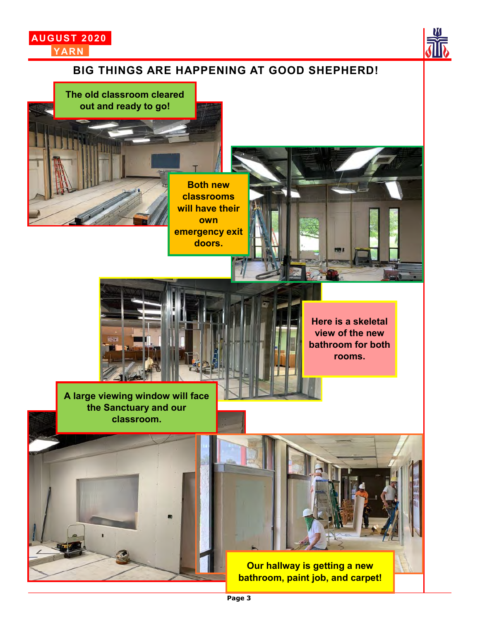

**out and ready to go!**



# **BIG THINGS ARE HAPPENING AT GOOD SHEPHERD! The old classroom cleared**

**Both new classrooms will have their own emergency exit doors.**



**A large viewing window will face the Sanctuary and our classroom.**

**Here is a skeletal view of the new bathroom for both rooms.**

**Our hallway is getting a new bathroom, paint job, and carpet!**